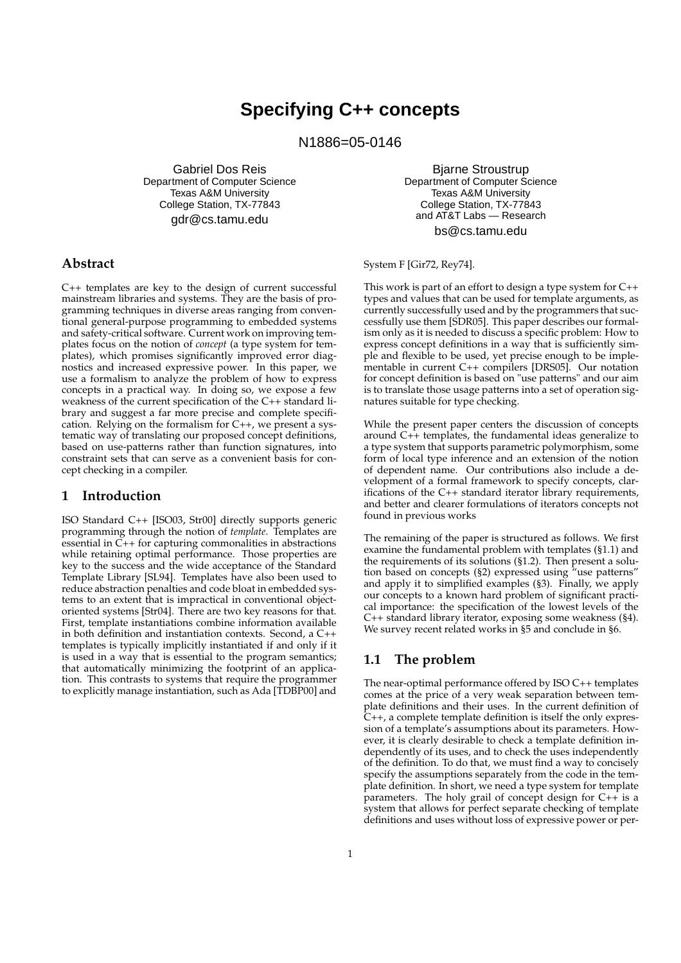# **Specifying C++ concepts**

N1886=05-0146

Gabriel Dos Reis Department of Computer Science Texas A&M University College Station, TX-77843 gdr@cs.tamu.edu

Bjarne Stroustrup Department of Computer Science Texas A&M University College Station, TX-77843 and AT&T Labs — Research bs@cs.tamu.edu

# **Abstract**

C++ templates are key to the design of current successful mainstream libraries and systems. They are the basis of programming techniques in diverse areas ranging from conventional general-purpose programming to embedded systems and safety-critical software. Current work on improving templates focus on the notion of *concept* (a type system for templates), which promises significantly improved error diagnostics and increased expressive power. In this paper, we use a formalism to analyze the problem of how to express concepts in a practical way. In doing so, we expose a few weakness of the current specification of the C++ standard library and suggest a far more precise and complete specification. Relying on the formalism for C++, we present a systematic way of translating our proposed concept definitions, based on use-patterns rather than function signatures, into constraint sets that can serve as a convenient basis for concept checking in a compiler.

#### **1 Introduction**

ISO Standard C++ [ISO03, Str00] directly supports generic programming through the notion of *template*. Templates are essential in  $\widetilde{C}_{++}$  for capturing commonalities in abstractions while retaining optimal performance. Those properties are key to the success and the wide acceptance of the Standard Template Library [SL94]. Templates have also been used to reduce abstraction penalties and code bloat in embedded systems to an extent that is impractical in conventional objectoriented systems [Str04]. There are two key reasons for that. First, template instantiations combine information available in both definition and instantiation contexts. Second, a C++ templates is typically implicitly instantiated if and only if it is used in a way that is essential to the program semantics; that automatically minimizing the footprint of an application. This contrasts to systems that require the programmer to explicitly manage instantiation, such as Ada [TDBP00] and

System F [Gir72, Rey74].

This work is part of an effort to design a type system for C++ types and values that can be used for template arguments, as currently successfully used and by the programmers that successfully use them [SDR05]. This paper describes our formalism only as it is needed to discuss a specific problem: How to express concept definitions in a way that is sufficiently simple and flexible to be used, yet precise enough to be implementable in current C++ compilers [DRS05]. Our notation for concept definition is based on "use patterns" and our aim is to translate those usage patterns into a set of operation signatures suitable for type checking.

While the present paper centers the discussion of concepts around C++ templates, the fundamental ideas generalize to a type system that supports parametric polymorphism, some form of local type inference and an extension of the notion of dependent name. Our contributions also include a development of a formal framework to specify concepts, clarifications of the C++ standard iterator library requirements, and better and clearer formulations of iterators concepts not found in previous works

The remaining of the paper is structured as follows. We first examine the fundamental problem with templates (§1.1) and the requirements of its solutions (§1.2). Then present a solution based on concepts (§2) expressed using "use patterns" and apply it to simplified examples (§3). Finally, we apply our concepts to a known hard problem of significant practical importance: the specification of the lowest levels of the C++ standard library iterator, exposing some weakness (§4). We survey recent related works in §5 and conclude in §6.

# **1.1 The problem**

The near-optimal performance offered by ISO C++ templates comes at the price of a very weak separation between template definitions and their uses. In the current definition of C++, a complete template definition is itself the only expression of a template's assumptions about its parameters. However, it is clearly desirable to check a template definition independently of its uses, and to check the uses independently of the definition. To do that, we must find a way to concisely specify the assumptions separately from the code in the template definition. In short, we need a type system for template parameters. The holy grail of concept design for  $C++$  is a system that allows for perfect separate checking of template definitions and uses without loss of expressive power or per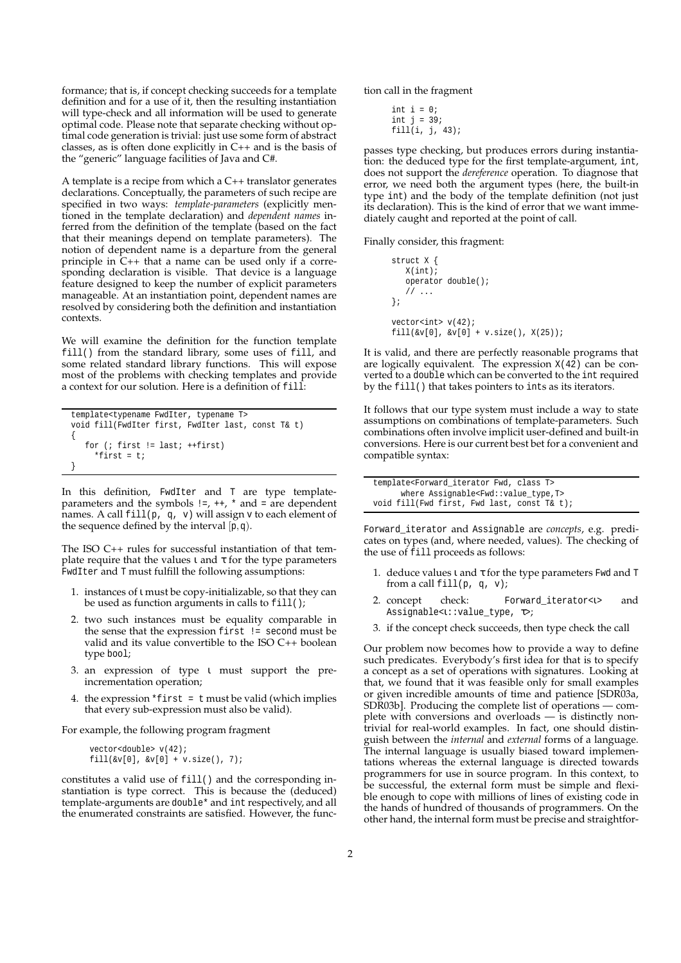formance; that is, if concept checking succeeds for a template definition and for a use of it, then the resulting instantiation will type-check and all information will be used to generate optimal code. Please note that separate checking without optimal code generation is trivial: just use some form of abstract classes, as is often done explicitly in C++ and is the basis of the "generic" language facilities of Java and C#.

A template is a recipe from which a C++ translator generates declarations. Conceptually, the parameters of such recipe are specified in two ways: *template-parameters* (explicitly mentioned in the template declaration) and *dependent names* inferred from the definition of the template (based on the fact that their meanings depend on template parameters). The notion of dependent name is a departure from the general principle in C++ that a name can be used only if a corresponding declaration is visible. That device is a language feature designed to keep the number of explicit parameters manageable. At an instantiation point, dependent names are resolved by considering both the definition and instantiation contexts.

We will examine the definition for the function template fill() from the standard library, some uses of fill, and some related standard library functions. This will expose most of the problems with checking templates and provide a context for our solution. Here is a definition of fill:

```
template<typename FwdIter, typename T>
void fill(FwdIter first, FwdIter last, const T& t)
{
   for (; first != last; ++first)
     *first = ti}
```
In this definition, FwdIter and T are type templateparameters and the symbols  $!=, ++, *$  and  $=$  are dependent names. A call fill(p, q, v) will assign v to each element of the sequence defined by the interval  $\overline{p},\overline{q}$ .

The ISO C++ rules for successful instantiation of that template require that the values  $\iota$  and  $\tau$  for the type parameters FwdIter and T must fulfill the following assumptions:

- 1. instances of ι must be copy-initializable, so that they can be used as function arguments in calls to fill();
- 2. two such instances must be equality comparable in the sense that the expression first != second must be valid and its value convertible to the ISO C++ boolean type bool;
- 3. an expression of type ι must support the preincrementation operation;
- 4. the expression \*first =  $t$  must be valid (which implies that every sub-expression must also be valid).

For example, the following program fragment

```
vector<double> v(42);
fill(\&v[0], \&v[0] + v.size(), 7);
```
constitutes a valid use of fill() and the corresponding instantiation is type correct. This is because the (deduced) template-arguments are double\* and int respectively, and all the enumerated constraints are satisfied. However, the function call in the fragment

```
int i = 0;
int j = 39;
fill(i, j, 43);
```
passes type checking, but produces errors during instantiation: the deduced type for the first template-argument, int, does not support the *dereference* operation. To diagnose that error, we need both the argument types (here, the built-in type int) and the body of the template definition (not just its declaration). This is the kind of error that we want immediately caught and reported at the point of call.

Finally consider, this fragment:

```
struct X {
   X(int);
   operator double();
   // ...
};
vector<int> v(42);
fill(xv[0], \hat{x}v[0] + v.size(), X(25));
```
It is valid, and there are perfectly reasonable programs that are logically equivalent. The expression X(42) can be converted to a double which can be converted to the int required by the fill() that takes pointers to ints as its iterators.

It follows that our type system must include a way to state assumptions on combinations of template-parameters. Such combinations often involve implicit user-defined and built-in conversions. Here is our current best bet for a convenient and compatible syntax:

```
template<Forward_iterator Fwd, class T>
     where Assignable<Fwd::value_type,T>
void fill(Fwd first, Fwd last, const T& t);
```
Forward\_iterator and Assignable are *concepts*, e.g. predicates on types (and, where needed, values). The checking of the use of fill proceeds as follows:

- 1. deduce values  $\iota$  and  $\tau$  for the type parameters Fwd and T from a call fill(p, q, v);
- 2. concept check: Forward\_iterator<1> and Assignable<ι::value\_type, τ>;
- 3. if the concept check succeeds, then type check the call

Our problem now becomes how to provide a way to define such predicates. Everybody's first idea for that is to specify a concept as a set of operations with signatures. Looking at that, we found that it was feasible only for small examples or given incredible amounts of time and patience [SDR03a, SDR03b]. Producing the complete list of operations — complete with conversions and overloads — is distinctly nontrivial for real-world examples. In fact, one should distinguish between the *internal* and *external* forms of a language. The internal language is usually biased toward implementations whereas the external language is directed towards programmers for use in source program. In this context, to be successful, the external form must be simple and flexible enough to cope with millions of lines of existing code in the hands of hundred of thousands of programmers. On the other hand, the internal form must be precise and straightfor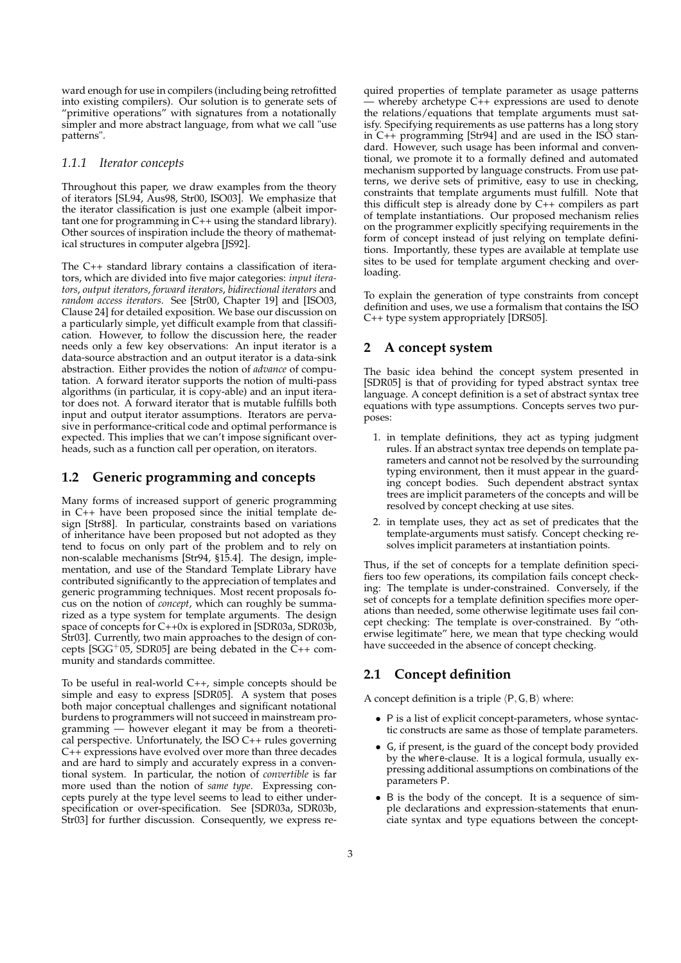ward enough for use in compilers (including being retrofitted into existing compilers). Our solution is to generate sets of "primitive operations" with signatures from a notationally simpler and more abstract language, from what we call "use patterns".

#### *1.1.1 Iterator concepts*

Throughout this paper, we draw examples from the theory of iterators [SL94, Aus98, Str00, ISO03]. We emphasize that the iterator classification is just one example (albeit important one for programming in  $C++$  using the standard library). Other sources of inspiration include the theory of mathematical structures in computer algebra [JS92].

The C++ standard library contains a classification of iterators, which are divided into five major categories: *input iterators*, *output iterators*, *forward iterators*, *bidirectional iterators* and *random access iterators*. See [Str00, Chapter 19] and [ISO03, Clause 24] for detailed exposition. We base our discussion on a particularly simple, yet difficult example from that classification. However, to follow the discussion here, the reader needs only a few key observations: An input iterator is a data-source abstraction and an output iterator is a data-sink abstraction. Either provides the notion of *advance* of computation. A forward iterator supports the notion of multi-pass algorithms (in particular, it is copy-able) and an input iterator does not. A forward iterator that is mutable fulfills both input and output iterator assumptions. Iterators are pervasive in performance-critical code and optimal performance is expected. This implies that we can't impose significant overheads, such as a function call per operation, on iterators.

#### **1.2 Generic programming and concepts**

Many forms of increased support of generic programming in C++ have been proposed since the initial template design [Str88]. In particular, constraints based on variations of inheritance have been proposed but not adopted as they tend to focus on only part of the problem and to rely on non-scalable mechanisms [Str94, §15.4]. The design, implementation, and use of the Standard Template Library have contributed significantly to the appreciation of templates and generic programming techniques. Most recent proposals focus on the notion of *concept*, which can roughly be summarized as a type system for template arguments. The design space of concepts for C++0x is explored in [SDR03a, SDR03b, Str03]. Currently, two main approaches to the design of concepts [SGG<sup>+</sup>05, SDR05] are being debated in the C++ community and standards committee.

To be useful in real-world C++, simple concepts should be simple and easy to express [SDR05]. A system that poses both major conceptual challenges and significant notational burdens to programmers will not succeed in mainstream programming — however elegant it may be from a theoretical perspective. Unfortunately, the ISO  $C++$  rules governing C++ expressions have evolved over more than three decades and are hard to simply and accurately express in a conventional system. In particular, the notion of *convertible* is far more used than the notion of *same type*. Expressing concepts purely at the type level seems to lead to either underspecification or over-specification. See [SDR03a, SDR03b, Str03] for further discussion. Consequently, we express required properties of template parameter as usage patterns whereby archetype C++ expressions are used to denote the relations/equations that template arguments must satisfy. Specifying requirements as use patterns has a long story in C++ programming [Str94] and are used in the ISO standard. However, such usage has been informal and conventional, we promote it to a formally defined and automated mechanism supported by language constructs. From use patterns, we derive sets of primitive, easy to use in checking, constraints that template arguments must fulfill. Note that this difficult step is already done by C++ compilers as part of template instantiations. Our proposed mechanism relies on the programmer explicitly specifying requirements in the form of concept instead of just relying on template definitions. Importantly, these types are available at template use sites to be used for template argument checking and overloading.

To explain the generation of type constraints from concept definition and uses, we use a formalism that contains the ISO C++ type system appropriately [DRS05].

# **2 A concept system**

The basic idea behind the concept system presented in [SDR05] is that of providing for typed abstract syntax tree language. A concept definition is a set of abstract syntax tree equations with type assumptions. Concepts serves two purposes:

- 1. in template definitions, they act as typing judgment rules. If an abstract syntax tree depends on template parameters and cannot not be resolved by the surrounding typing environment, then it must appear in the guarding concept bodies. Such dependent abstract syntax trees are implicit parameters of the concepts and will be resolved by concept checking at use sites.
- 2. in template uses, they act as set of predicates that the template-arguments must satisfy. Concept checking resolves implicit parameters at instantiation points.

Thus, if the set of concepts for a template definition specifiers too few operations, its compilation fails concept checking: The template is under-constrained. Conversely, if the set of concepts for a template definition specifies more operations than needed, some otherwise legitimate uses fail concept checking: The template is over-constrained. By "otherwise legitimate" here, we mean that type checking would have succeeded in the absence of concept checking.

# **2.1 Concept definition**

A concept definition is a triple  $\langle P, G, B \rangle$  where:

- P is a list of explicit concept-parameters, whose syntactic constructs are same as those of template parameters.
- G, if present, is the guard of the concept body provided by the where-clause. It is a logical formula, usually expressing additional assumptions on combinations of the parameters P.
- B is the body of the concept. It is a sequence of simple declarations and expression-statements that enunciate syntax and type equations between the concept-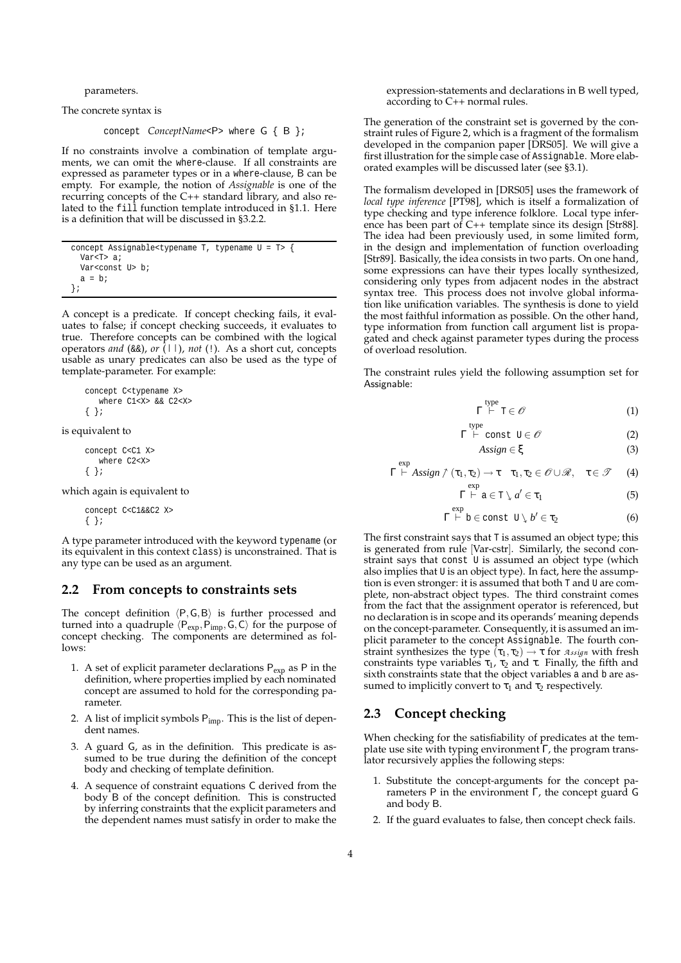parameters.

The concrete syntax is

concept *ConceptName*<P> where G { B };

If no constraints involve a combination of template arguments, we can omit the where-clause. If all constraints are expressed as parameter types or in a where-clause, B can be empty. For example, the notion of *Assignable* is one of the recurring concepts of the C++ standard library, and also related to the fill function template introduced in §1.1. Here is a definition that will be discussed in §3.2.2.

```
concept Assignable<typename T, typename U = T> {
  Var<T> a;
  Var<const U> b;
  a = bi};
```
A concept is a predicate. If concept checking fails, it evaluates to false; if concept checking succeeds, it evaluates to true. Therefore concepts can be combined with the logical operators *and* (&&), *or* (*||*), *not* (!). As a short cut, concepts usable as unary predicates can also be used as the type of template-parameter. For example:

```
concept C<typename X>
   where C1<X> && C2<X>
{ };
```
is equivalent to

```
concept C<C1 X>
   where C2<X>
{ };
```
which again is equivalent to

```
concept C<C1&&C2 X>
{ };
```
A type parameter introduced with the keyword typename (or its equivalent in this context class) is unconstrained. That is any type can be used as an argument.

#### **2.2 From concepts to constraints sets**

The concept definition  $\langle P, G, B \rangle$  is further processed and turned into a quadruple  $\langle P_{exp},P_{imp},G,C\rangle$  for the purpose of concept checking. The components are determined as follows:

- 1. A set of explicit parameter declarations  $P_{exp}$  as P in the definition, where properties implied by each nominated concept are assumed to hold for the corresponding parameter.
- 2. A list of implicit symbols  $P_{imp}$ . This is the list of dependent names.
- 3. A guard G, as in the definition. This predicate is assumed to be true during the definition of the concept body and checking of template definition.
- 4. A sequence of constraint equations C derived from the body B of the concept definition. This is constructed by inferring constraints that the explicit parameters and the dependent names must satisfy in order to make the

expression-statements and declarations in B well typed, according to C++ normal rules.

The generation of the constraint set is governed by the constraint rules of Figure 2, which is a fragment of the formalism developed in the companion paper [DRS05]. We will give a first illustration for the simple case of Assignable. More elaborated examples will be discussed later (see §3.1).

The formalism developed in [DRS05] uses the framework of *local type inference* [PT98], which is itself a formalization of type checking and type inference folklore. Local type inference has been part of C++ template since its design [Str88]. The idea had been previously used, in some limited form, in the design and implementation of function overloading [Str89]. Basically, the idea consists in two parts. On one hand, some expressions can have their types locally synthesized, considering only types from adjacent nodes in the abstract syntax tree. This process does not involve global information like unification variables. The synthesis is done to yield the most faithful information as possible. On the other hand, type information from function call argument list is propagated and check against parameter types during the process of overload resolution.

The constraint rules yield the following assumption set for Assignable:

$$
\Gamma \stackrel{\text{type}}{\vdash} \mathbb{T} \in \mathscr{O} \tag{1}
$$

$$
\Gamma \stackrel{\text{type}}{\vdash} \text{const } U \in \mathscr{O} \tag{2}
$$

$$
Assign \in \xi \tag{3}
$$

$$
\Gamma \vdash Assign \uparrow (\tau_1, \tau_2) \to \tau \quad \tau_1, \tau_2 \in \mathscr{O} \cup \mathscr{R}, \quad \tau \in \mathscr{T} \quad (4)
$$

Γ

$$
\overset{\text{exp}}{\vdash} \mathsf{a} \in \mathsf{T} \setminus a' \in \tau_1 \tag{5}
$$

$$
\Gamma \stackrel{\text{exp}}{\vdash} b \in \text{const} \ \mathbb{U} \setminus b' \in \tau_2 \tag{6}
$$

The first constraint says that T is assumed an object type; this is generated from rule [Var-cstr]. Similarly, the second constraint says that const U is assumed an object type (which also implies that U is an object type). In fact, here the assumption is even stronger: it is assumed that both T and U are complete, non-abstract object types. The third constraint comes from the fact that the assignment operator is referenced, but no declaration is in scope and its operands' meaning depends on the concept-parameter. Consequently, it is assumed an implicit parameter to the concept Assignable. The fourth constraint synthesizes the type  $(\tau_1, \tau_2) \rightarrow \tau$  for  $\pi_{ssign}$  with fresh constraints type variables  $\tau_1$ ,  $\tau_2$  and  $\tau$ . Finally, the fifth and sixth constraints state that the object variables a and b are assumed to implicitly convert to  $\tau_1$  and  $\tau_2$  respectively.

#### **2.3 Concept checking**

exp

When checking for the satisfiability of predicates at the template use site with typing environment Γ, the program translator recursively applies the following steps:

- 1. Substitute the concept-arguments for the concept parameters P in the environment Γ, the concept guard G and body B.
- 2. If the guard evaluates to false, then concept check fails.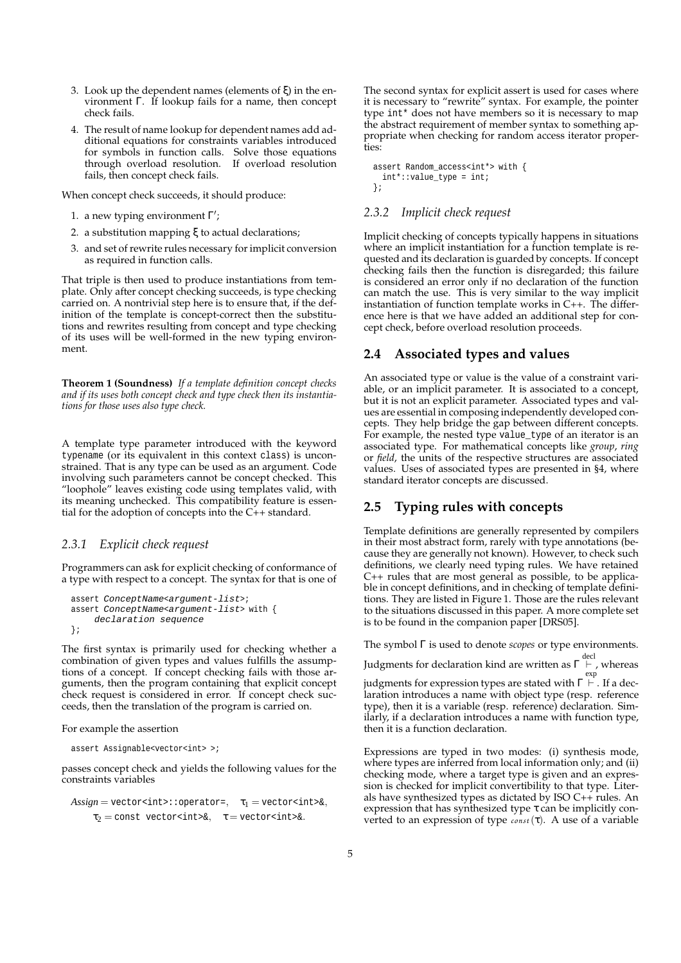- 3. Look up the dependent names (elements of ξ) in the environment Γ. If lookup fails for a name, then concept check fails.
- 4. The result of name lookup for dependent names add additional equations for constraints variables introduced for symbols in function calls. Solve those equations through overload resolution. If overload resolution fails, then concept check fails.

When concept check succeeds, it should produce:

- 1. a new typing environment  $\Gamma'$ ;
- 2. a substitution mapping ξ to actual declarations;
- 3. and set of rewrite rules necessary for implicit conversion as required in function calls.

That triple is then used to produce instantiations from template. Only after concept checking succeeds, is type checking carried on. A nontrivial step here is to ensure that, if the definition of the template is concept-correct then the substitutions and rewrites resulting from concept and type checking of its uses will be well-formed in the new typing environment.

**Theorem 1 (Soundness)** *If a template definition concept checks and if its uses both concept check and type check then its instantiations for those uses also type check.*

A template type parameter introduced with the keyword typename (or its equivalent in this context class) is unconstrained. That is any type can be used as an argument. Code involving such parameters cannot be concept checked. This "loophole" leaves existing code using templates valid, with its meaning unchecked. This compatibility feature is essential for the adoption of concepts into the C++ standard.

#### *2.3.1 Explicit check request*

Programmers can ask for explicit checking of conformance of a type with respect to a concept. The syntax for that is one of

```
assert ConceptName<argument-list>;
assert ConceptName<argument-list> with {
    declaration sequence
};
```
The first syntax is primarily used for checking whether a combination of given types and values fulfills the assumptions of a concept. If concept checking fails with those arguments, then the program containing that explicit concept check request is considered in error. If concept check succeeds, then the translation of the program is carried on.

For example the assertion

```
assert Assignable<vector<int> >;
```
passes concept check and yields the following values for the constraints variables

```
Assign = vector < int>:\:: operator =, \quad \tau_1 = vector < int>\&\,,
     \tau_2 = const vector<int>&, \tau = vector<int>&.
```
The second syntax for explicit assert is used for cases where it is necessary to "rewrite" syntax. For example, the pointer type int\* does not have members so it is necessary to map the abstract requirement of member syntax to something appropriate when checking for random access iterator properties:

```
assert Random_access<int*> with {
 int*::value_type = int;
};
```
### *2.3.2 Implicit check request*

Implicit checking of concepts typically happens in situations where an implicit instantiation for a function template is requested and its declaration is guarded by concepts. If concept checking fails then the function is disregarded; this failure is considered an error only if no declaration of the function can match the use. This is very similar to the way implicit instantiation of function template works in C++. The difference here is that we have added an additional step for concept check, before overload resolution proceeds.

#### **2.4 Associated types and values**

An associated type or value is the value of a constraint variable, or an implicit parameter. It is associated to a concept, but it is not an explicit parameter. Associated types and values are essential in composing independently developed concepts. They help bridge the gap between different concepts. For example, the nested type value\_type of an iterator is an associated type. For mathematical concepts like *group*, *ring* or *field*, the units of the respective structures are associated values. Uses of associated types are presented in §4, where standard iterator concepts are discussed.

# **2.5 Typing rules with concepts**

Template definitions are generally represented by compilers in their most abstract form, rarely with type annotations (because they are generally not known). However, to check such definitions, we clearly need typing rules. We have retained C++ rules that are most general as possible, to be applicable in concept definitions, and in checking of template definitions. They are listed in Figure 1. Those are the rules relevant to the situations discussed in this paper. A more complete set is to be found in the companion paper [DRS05].

The symbol Γ is used to denote *scopes* or type environments.

Judgments for declaration kind are written as  $\Gamma \, \vdash$  , whereas

judgments for expression types are stated with  $\Gamma \vdash$  . If a decexp laration introduces a name with object type (resp. reference type), then it is a variable (resp. reference) declaration. Similarly, if a declaration introduces a name with function type, then it is a function declaration.

Expressions are typed in two modes: (i) synthesis mode, where types are inferred from local information only; and (ii) checking mode, where a target type is given and an expression is checked for implicit convertibility to that type. Literals have synthesized types as dictated by ISO C++ rules. An expression that has synthesized type  $\tau$  can be implicitly converted to an expression of type *const*(τ). A use of a variable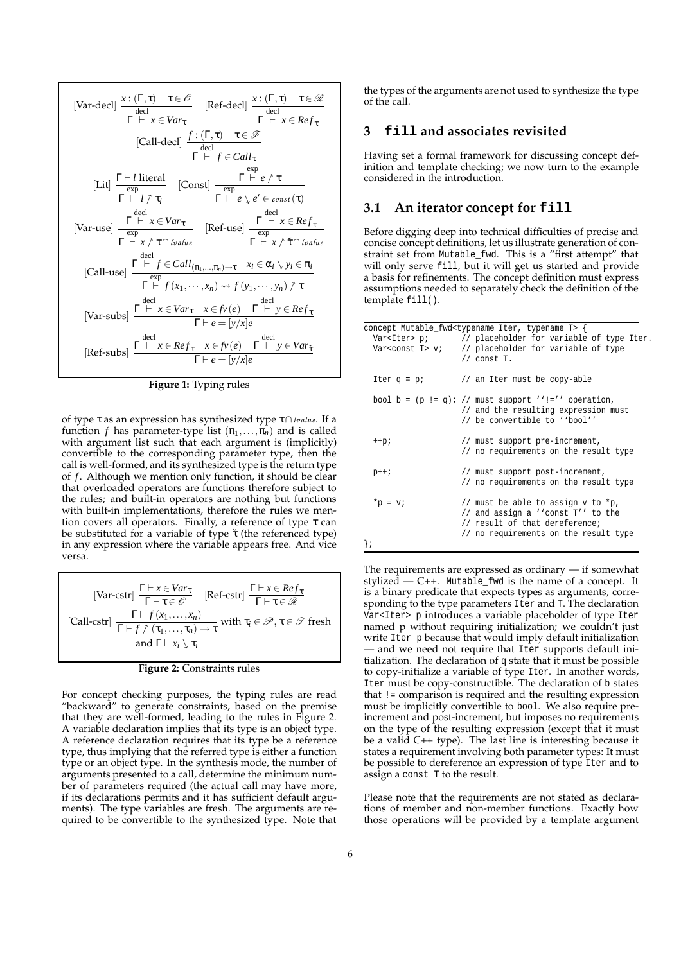[Var-decl] 
$$
\frac{x:(\Gamma,\tau) \quad \tau \in \mathcal{O}}{\Gamma \vdash x \in Var_{\tau}}
$$
 [Ref-decl] 
$$
\frac{x:(\Gamma,\tau) \quad \tau \in \mathcal{R}}{\Gamma \vdash x \in ker_{\tau}}
$$
 [Call-decl] 
$$
\frac{f:(\Gamma,\tau) \quad \tau \in \mathcal{F}}{\Gamma \vdash f \in Call_{\tau}}
$$
 [Call-decl] 
$$
\frac{f:(\Gamma,\tau) \quad \tau \in \mathcal{F}}{\Gamma \vdash f \in Call_{\tau}}
$$
 [const] 
$$
\frac{\exp}{\exp} \quad \frac{\exp}{\exp} \quad \frac{\exp}{\exp} \quad \frac{\exp}{\exp} \quad \frac{\exp}{\exp} \quad \frac{\exp}{\exp} \quad \frac{\exp}{\exp} \quad \frac{\exp}{\exp} \quad \frac{\exp}{\exp} \quad \frac{\exp}{\exp} \quad \frac{\exp}{\exp} \quad \frac{\exp}{\exp} \quad \frac{\exp}{\exp} \quad \frac{\exp}{\exp} \quad \frac{\exp}{\exp} \quad \frac{\exp}{\exp} \quad \frac{\exp}{\exp} \quad \frac{\exp}{\exp} \quad \frac{\exp}{\exp} \quad \frac{\exp}{\exp} \quad \frac{\exp}{\exp} \quad \frac{\exp}{\exp} \quad \frac{\exp}{\exp} \quad \frac{\exp}{\exp} \quad \frac{\exp}{\exp} \quad \frac{\exp}{\exp} \quad \frac{\exp}{\exp} \quad \frac{\exp}{\exp} \quad \frac{\exp}{\exp} \quad \frac{\exp}{\exp} \quad \frac{\exp}{\exp} \quad \frac{\exp}{\exp} \quad \frac{\exp}{\exp} \quad \frac{\exp}{\exp} \quad \frac{\exp}{\exp} \quad \frac{\exp}{\exp} \quad \frac{\exp}{\exp} \quad \frac{\exp}{\exp} \quad \frac{\exp}{\exp} \quad \frac{\exp}{\exp} \quad \frac{\exp}{\exp} \quad \frac{\exp}{\exp} \quad \frac{\exp}{\exp} \quad \frac{\exp}{\exp} \quad \frac{\exp}{\exp} \quad \frac{\exp}{\exp} \quad \frac{\exp}{\exp} \quad \frac{\exp}{\exp} \quad \frac{\exp}{\exp} \quad \frac{\exp}{\exp} \quad \frac{\exp}{\exp} \quad \frac{\exp}{\exp} \quad \frac{\exp}{\exp} \quad \frac{\exp}{\exp} \quad \frac{\exp}{\exp} \quad \frac{\exp}{\exp} \quad \frac{\exp}{\exp} \quad \
$$

**Figure 1:** Typing rules

of type τ as an expression has synthesized type τ∩*lvalue*. If a function *f* has parameter-type list  $(\pi_1, \ldots, \pi_n)$  and is called with argument list such that each argument is (implicitly) convertible to the corresponding parameter type, then the call is well-formed, and its synthesized type is the return type of *f* . Although we mention only function, it should be clear that overloaded operators are functions therefore subject to the rules; and built-in operators are nothing but functions with built-in implementations, therefore the rules we mention covers all operators. Finally, a reference of type τ can be substituted for a variable of type  $\check{\tau}$  (the referenced type) in any expression where the variable appears free. And vice versa.

[Var-cstr]  $\frac{\Gamma \vdash x \in Var_{\tau}}{\Gamma \vdash x \in \mathcal{R}}$  $\frac{\Gamma \vdash x \in Var_{\tau}}{\Gamma \vdash \tau \in \mathscr{O}}$  [Ref-cstr]  $\frac{\Gamma \vdash x \in Ref_{\tau}}{\Gamma \vdash \tau \in \mathscr{R}}$  $\overline{\Gamma}$   $\vdash$  τ $\in$   $\mathscr R$  $[Call\text{-}cstr] \frac{\Gamma \vdash f(x_1,\ldots,x_n)}{\Gamma \vdash f(x_1,\ldots,x_n)}$  $\frac{1\ \vdash\ \int \langle x_1,\ldots,x_n\rangle}{\Gamma\vdash f\ \int \langle\tau_1,\ldots,\tau_n\rangle\to\tau}$  with  $\tau_i\in\mathscr{P},\tau\in\mathscr{T}$  fresh and  $\Gamma \vdash x_i \setminus \tau_i$ 

For concept checking purposes, the typing rules are read "backward" to generate constraints, based on the premise that they are well-formed, leading to the rules in Figure 2. A variable declaration implies that its type is an object type. A reference declaration requires that its type be a reference type, thus implying that the referred type is either a function type or an object type. In the synthesis mode, the number of arguments presented to a call, determine the minimum number of parameters required (the actual call may have more, if its declarations permits and it has sufficient default arguments). The type variables are fresh. The arguments are required to be convertible to the synthesized type. Note that

the types of the arguments are not used to synthesize the type of the call.

#### **3 fill and associates revisited**

Having set a formal framework for discussing concept definition and template checking; we now turn to the example considered in the introduction.

# **3.1 An iterator concept for fill**

Before digging deep into technical difficulties of precise and concise concept definitions, let us illustrate generation of constraint set from Mutable\_fwd. This is a "first attempt" that will only serve fill, but it will get us started and provide a basis for refinements. The concept definition must express assumptions needed to separately check the definition of the template fill().

| concept Mutable_fwd <typename iter,="" t="" typename=""> {</typename> |                                                                             |  |  |  |  |
|-----------------------------------------------------------------------|-----------------------------------------------------------------------------|--|--|--|--|
|                                                                       | Var <iter> <math>pi</math> // placeholder for variable of type Iter.</iter> |  |  |  |  |
|                                                                       | Var <const <math="">T&gt; v; // placeholder for variable of type</const>    |  |  |  |  |
|                                                                       | $//$ const $T.$                                                             |  |  |  |  |
|                                                                       | Iter $q = pi$ // an Iter must be copy-able                                  |  |  |  |  |
|                                                                       | bool b = $(p := q)$ ; // must support ''!='' operation,                     |  |  |  |  |
|                                                                       | // and the resulting expression must                                        |  |  |  |  |
|                                                                       | // be convertible to ''bool''                                               |  |  |  |  |
| $++p;$                                                                | // must support pre-increment,                                              |  |  |  |  |
|                                                                       | // no requirements on the result type                                       |  |  |  |  |
| $p++;$                                                                | // must support post-increment,                                             |  |  |  |  |
|                                                                       | // no requirements on the result type                                       |  |  |  |  |
| $*_{\mathcal{D}} = \mathbf{v}$                                        | // must be able to assign v to *p,                                          |  |  |  |  |
|                                                                       | // and assign a ''const T'' to the                                          |  |  |  |  |
|                                                                       | // result of that dereference;                                              |  |  |  |  |
|                                                                       | // no requirements on the result type                                       |  |  |  |  |
| łi                                                                    |                                                                             |  |  |  |  |

The requirements are expressed as ordinary — if somewhat stylized  $-$  C++. Mutable\_fwd is the name of a concept. It is a binary predicate that expects types as arguments, corresponding to the type parameters Iter and T. The declaration Var<Iter> p introduces a variable placeholder of type Iter named p without requiring initialization; we couldn't just write Iter p because that would imply default initialization — and we need not require that Iter supports default initialization. The declaration of q state that it must be possible to copy-initialize a variable of type Iter. In another words, Iter must be copy-constructible. The declaration of b states that != comparison is required and the resulting expression must be implicitly convertible to bool. We also require preincrement and post-increment, but imposes no requirements on the type of the resulting expression (except that it must be a valid C++ type). The last line is interesting because it states a requirement involving both parameter types: It must be possible to dereference an expression of type Iter and to assign a const T to the result.

Please note that the requirements are not stated as declarations of member and non-member functions. Exactly how those operations will be provided by a template argument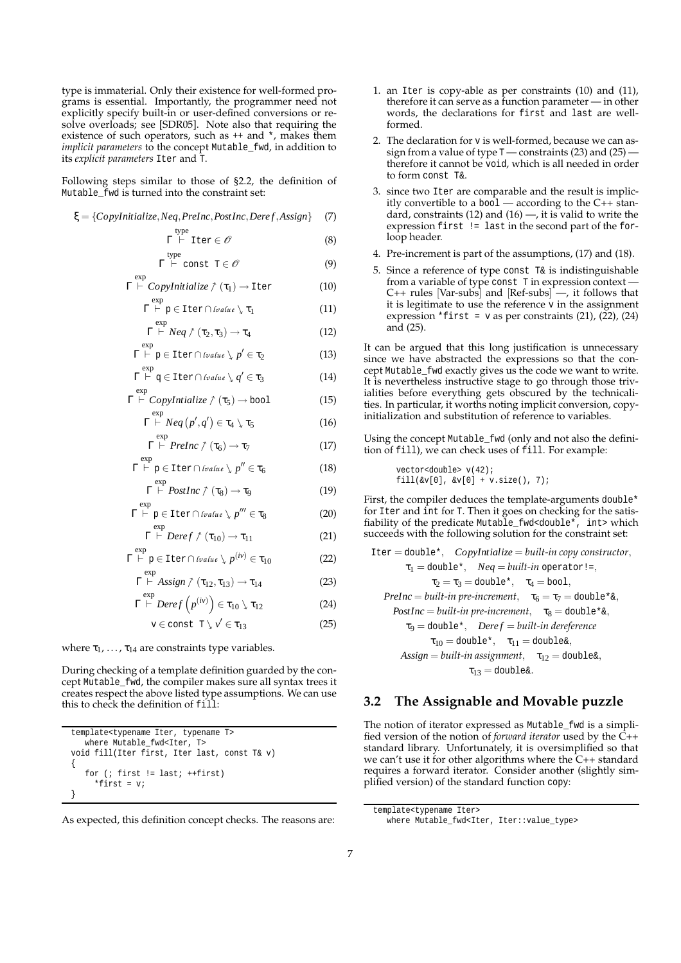type is immaterial. Only their existence for well-formed programs is essential. Importantly, the programmer need not explicitly specify built-in or user-defined conversions or resolve overloads; see [SDR05]. Note also that requiring the existence of such operators, such as ++ and \*, makes them *implicit parameters* to the concept Mutable\_fwd, in addition to its *explicit parameters* Iter and T.

Following steps similar to those of §2.2, the definition of Mutable\_fwd is turned into the constraint set:

Γ

exp

exp

Γ

exp

 $e^{n}$ 

$$
\xi = \{CopyInitialize, Neg, PreInc, PostInc, Derek, Assign\} \tag{7}
$$

$$
\Gamma \stackrel{\text{type}}{\vdash} \text{Iter} \in \mathscr{O} \tag{8}
$$

$$
{}^{\text{type}}\vdash \text{const} \ \mathsf{T} \in \mathscr{O} \tag{9}
$$

$$
\Gamma \stackrel{\text{exp}}{\vdash} \text{Copyright}
$$
\n
$$
\Gamma \stackrel{\text{exp}}{\vdash} \text{Copyright}
$$
\n
$$
\uparrow (\tau_1) \to \text{Iter}
$$
\n
$$
(10)
$$

$$
\Gamma \vdash p \in \text{Iter} \cap \text{[value } \setminus \tau_1 \tag{11}
$$

$$
\Gamma \stackrel{\exp}{\vdash} Neq \uparrow (\tau_2, \tau_3) \to \tau_4 \tag{12}
$$

$$
\Gamma \vdash p \in \text{Iter} \cap \text{[value } \mathcal{p}' \in \tau_2 \tag{13}
$$

$$
\Gamma \vdash q \in \text{Iter} \cap \text{[value } \mathcal{p} \neq \tau_3 \tag{14}
$$

$$
\Gamma \stackrel{\text{exp}}{\vdash} \text{Copyright}
$$
\n
$$
\Gamma \stackrel{\text{exp}}{\vdash} \text{Copyright}
$$
\n
$$
\uparrow (\tau_5) \to \text{bool}
$$
\n
$$
(15)
$$

$$
\Gamma \stackrel{\exp}{\vdash} Neq(p',q') \in \tau_4 \setminus \tau_5 \tag{16}
$$

$$
\Gamma \vdash \text{PreInc } \uparrow (\tau_6) \to \tau_7 \tag{17}
$$

$$
\Gamma \vdash p \in \text{Iter} \cap \text{[value } \mathcal{p}'' \in \tau_6 \tag{18}
$$

$$
\Gamma \stackrel{exp}{\vdash} PostInc \uparrow (\tau_8) \to \tau_9 \tag{19}
$$

$$
\Gamma \stackrel{\text{exp}}{\vdash} p \in \text{Iter} \cap \text{[value } \mathcal{F}''' \in \tau_8 \tag{20}
$$

$$
\Gamma \stackrel{\exp}{\vdash} \textit{Deref} \uparrow (\tau_{10}) \to \tau_{11} \tag{21}
$$

$$
\overset{\text{exp}}{\vdash} \mathbf{p} \in \text{Iter} \cap \text{[value } \mathbf{\downarrow} \ p^{(iv)} \in \mathbf{\tau}_{10} \tag{22}
$$

$$
\Gamma \vdash Assign \uparrow (\tau_{12}, \tau_{13}) \to \tau_{14} \tag{23}
$$

$$
\Gamma \stackrel{\exp}{\vdash} \textit{Deref}\left(p^{(iv)}\right) \in \tau_{10} \setminus \tau_{12} \tag{24}
$$

$$
v \in \text{const } T \setminus v' \in \tau_{13} \tag{25}
$$

where  $\tau_1, \ldots, \tau_{14}$  are constraints type variables.

During checking of a template definition guarded by the concept Mutable\_fwd, the compiler makes sure all syntax trees it creates respect the above listed type assumptions. We can use this to check the definition of fill:

```
template<typename Iter, typename T>
   where Mutable_fwd<Iter, T>
void fill(Iter first, Iter last, const T& v)
{
   for (i first != last; ++first)
     *first = vi}
```
As expected, this definition concept checks. The reasons are:

- 1. an Iter is copy-able as per constraints (10) and (11), therefore it can serve as a function parameter — in other words, the declarations for first and last are wellformed.
- 2. The declaration for v is well-formed, because we can assign from a value of type  $T$  — constraints (23) and (25)  $\cdot$ therefore it cannot be void, which is all needed in order to form const T&.
- 3. since two Iter are comparable and the result is implicitly convertible to a bool — according to the C++ standard, constraints  $(12)$  and  $(16)$  —, it is valid to write the expression first != last in the second part of the forloop header.
- 4. Pre-increment is part of the assumptions, (17) and (18).
- 5. Since a reference of type const  $T_{\alpha}$  is indistinguishable from a variable of type const T in expression context — C++ rules [Var-subs] and [Ref-subs] —, it follows that it is legitimate to use the reference v in the assignment expression \*first =  $v$  as per constraints (21), (22), (24) and (25).

It can be argued that this long justification is unnecessary since we have abstracted the expressions so that the concept Mutable\_fwd exactly gives us the code we want to write. It is nevertheless instructive stage to go through those trivialities before everything gets obscured by the technicalities. In particular, it worths noting implicit conversion, copyinitialization and substitution of reference to variables.

Using the concept Mutable\_fwd (only and not also the definition of fill), we can check uses of fill. For example:

vector<double> v(42); fill(&v[0], &v[0] + v.size(), 7);

First, the compiler deduces the template-arguments double\* for Iter and int for T. Then it goes on checking for the satisfiability of the predicate Mutable\_fwd<double\*, int> which succeeds with the following solution for the constraint set:

\n
$$
\text{Iter} = \text{double*}, \quad \text{CopyIntialize} = \text{built-in copy constructor},
$$
\n

\n\n $\tau_1 = \text{double*}, \quad \text{Neg} = \text{built-in operator} =,$ \n

\n\n $\tau_2 = \tau_3 = \text{double*}, \quad \tau_4 = \text{bool},$ \n

\n\n $\text{PreInc} = \text{built-in pre-increment}, \quad \tau_6 = \tau_7 = \text{double*}\&,$ \n

\n\n $\text{PostInc} = \text{built-in pre-increment}, \quad \tau_8 = \text{double*}\&,$ \n

\n\n $\tau_9 = \text{double*}, \quad \text{Deref} = \text{built-in dereference}$ \n

\n\n $\tau_{10} = \text{double*}, \quad \tau_{11} = \text{double*},$ \n

\n\n $\text{Assign} = \text{built-in assignment}, \quad \tau_{12} = \text{double*},$ \n

 $\tau_{13} =$  double&.

# **3.2 The Assignable and Movable puzzle**

The notion of iterator expressed as Mutable\_fwd is a simplified version of the notion of *forward iterator* used by the C++ standard library. Unfortunately, it is oversimplified so that we can't use it for other algorithms where the C++ standard requires a forward iterator. Consider another (slightly simplified version) of the standard function copy:

template<typename Iter>

where Mutable\_fwd<Iter, Iter::value\_type>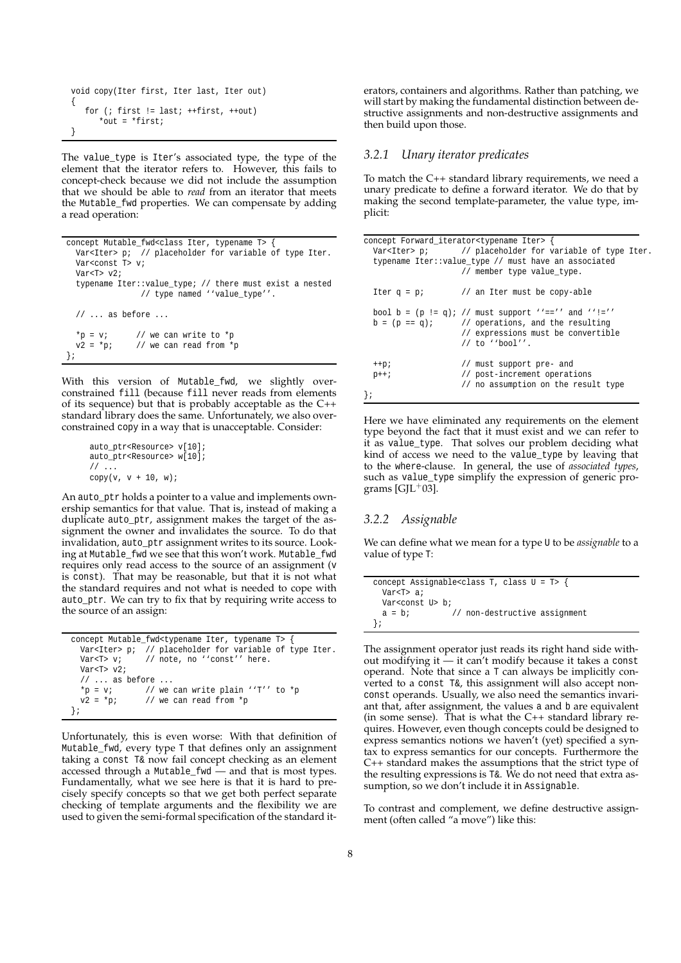```
void copy(Iter first, Iter last, Iter out)
{
   for (; first != last; ++first, ++out)
      *out = *first;
}
```
The value\_type is Iter's associated type, the type of the element that the iterator refers to. However, this fails to concept-check because we did not include the assumption that we should be able to *read* from an iterator that meets the Mutable\_fwd properties. We can compensate by adding a read operation:

```
concept Mutable_fwd<class Iter, typename T> {
  Var<Iter> p; // placeholder for variable of type Iter.
  Var<const T> v;
  Var(T > v2)typename Iter::value_type; // there must exist a nested
               // type named ''value_type''.
  // ... as before ...
  *p = v; // we can write to *pv2 = *pi; // we can read from *p
};
```
With this version of Mutable\_fwd, we slightly overconstrained fill (because fill never reads from elements of its sequence) but that is probably acceptable as the C++ standard library does the same. Unfortunately, we also overconstrained copy in a way that is unacceptable. Consider:

```
auto ptr<Resource> v[10];
auto_ptr<Resource> w[10];
// \dotscopy(v, v + 10, w);
```
An auto\_ptr holds a pointer to a value and implements ownership semantics for that value. That is, instead of making a duplicate auto\_ptr, assignment makes the target of the assignment the owner and invalidates the source. To do that invalidation, auto\_ptr assignment writes to its source. Looking at Mutable\_fwd we see that this won't work. Mutable\_fwd requires only read access to the source of an assignment (v is const). That may be reasonable, but that it is not what the standard requires and not what is needed to cope with auto\_ptr. We can try to fix that by requiring write access to the source of an assign:

```
concept Mutable_fwd<typename Iter, typename T> {
  Var<Iter> p; // placeholder for variable of type Iter.
  Var<T> v; // note, no ''const'' here.
  Var<T> v2;
  // ... as before ...<br>*p = v; // we
  *p = v; // we can write plain ''T'' to *p<br>
v2 = *p; // we can read from *p
                   // we can read from *_p};
```
Unfortunately, this is even worse: With that definition of Mutable\_fwd, every type T that defines only an assignment taking a const T& now fail concept checking as an element accessed through a Mutable\_fwd — and that is most types. Fundamentally, what we see here is that it is hard to precisely specify concepts so that we get both perfect separate checking of template arguments and the flexibility we are used to given the semi-formal specification of the standard iterators, containers and algorithms. Rather than patching, we will start by making the fundamental distinction between destructive assignments and non-destructive assignments and then build upon those.

#### *3.2.1 Unary iterator predicates*

To match the C++ standard library requirements, we need a unary predicate to define a forward iterator. We do that by making the second template-parameter, the value type, implicit:

| concept Forward_iterator <typename iter=""> {</typename> |                                                                                                                                                                                 |
|----------------------------------------------------------|---------------------------------------------------------------------------------------------------------------------------------------------------------------------------------|
|                                                          | Var <iter> <math>pi</math> // placeholder for variable of type Iter.</iter>                                                                                                     |
|                                                          | typename Iter:: value type // must have an associated<br>// member type value type.                                                                                             |
|                                                          | Iter $q = pi$ // an Iter must be copy-able                                                                                                                                      |
|                                                          | bool b = $(p := q)$ ; // must support ''=='' and ''!=''<br>$b = (p == q)i$ // operations, and the resulting<br>// expressions must be convertible<br>$\frac{1}{1}$ to ''bool''. |
| $++p;$                                                   | // must support pre- and                                                                                                                                                        |
| $p++;$                                                   | // post-increment operations<br>// no assumption on the result type                                                                                                             |

Here we have eliminated any requirements on the element type beyond the fact that it must exist and we can refer to it as value\_type. That solves our problem deciding what kind of access we need to the value\_type by leaving that to the where-clause. In general, the use of *associated types*, such as value\_type simplify the expression of generic programs  $[GJL+03]$ .

#### *3.2.2 Assignable*

We can define what we mean for a type U to be *assignable* to a value of type T:

|                             | concept Assignable <class <math="" class="" t,="">U = T &gt;</class> |
|-----------------------------|----------------------------------------------------------------------|
| Var <t> a;</t>              |                                                                      |
| Var <const u=""> b;</const> |                                                                      |
| $a = bi$                    | // non-destructive assignment                                        |
|                             |                                                                      |

The assignment operator just reads its right hand side without modifying it — it can't modify because it takes a const operand. Note that since a T can always be implicitly converted to a const T&, this assignment will also accept nonconst operands. Usually, we also need the semantics invariant that, after assignment, the values a and b are equivalent (in some sense). That is what the  $C++$  standard library requires. However, even though concepts could be designed to express semantics notions we haven't (yet) specified a syntax to express semantics for our concepts. Furthermore the C++ standard makes the assumptions that the strict type of the resulting expressions is T&. We do not need that extra assumption, so we don't include it in Assignable.

To contrast and complement, we define destructive assignment (often called "a move") like this: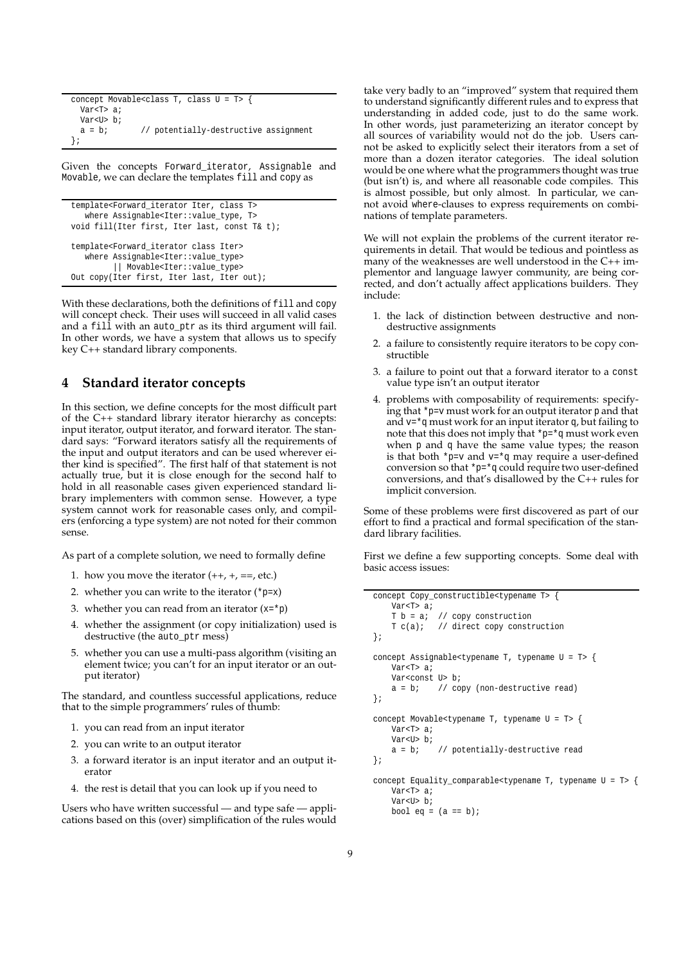```
concept Movable<class T, class U = T> {
 Var<T> a;
 Var<U> b;
 a = bi // potentially-destructive assignment
};
```
Given the concepts Forward\_iterator, Assignable and Movable, we can declare the templates fill and copy as

```
template<Forward_iterator Iter, class T>
   where Assignable<Iter::value_type, T>
void fill(Iter first, Iter last, const T& t);
template<Forward_iterator class Iter>
   where Assignable<Iter::value_type>
         || Movable<Iter::value_type>
Out copy(Iter first, Iter last, Iter out);
```
With these declarations, both the definitions of fill and copy will concept check. Their uses will succeed in all valid cases and a fill with an auto\_ptr as its third argument will fail. In other words, we have a system that allows us to specify key C++ standard library components.

# **4 Standard iterator concepts**

In this section, we define concepts for the most difficult part of the C++ standard library iterator hierarchy as concepts: input iterator, output iterator, and forward iterator. The standard says: "Forward iterators satisfy all the requirements of the input and output iterators and can be used wherever either kind is specified". The first half of that statement is not actually true, but it is close enough for the second half to hold in all reasonable cases given experienced standard library implementers with common sense. However, a type system cannot work for reasonable cases only, and compilers (enforcing a type system) are not noted for their common sense.

As part of a complete solution, we need to formally define

- 1. how you move the iterator  $(++, +, ==, etc.)$
- 2. whether you can write to the iterator  $(*p=x)$
- 3. whether you can read from an iterator  $(x=*)$
- 4. whether the assignment (or copy initialization) used is destructive (the auto\_ptr mess)
- 5. whether you can use a multi-pass algorithm (visiting an element twice; you can't for an input iterator or an output iterator)

The standard, and countless successful applications, reduce that to the simple programmers' rules of thumb:

- 1. you can read from an input iterator
- 2. you can write to an output iterator
- 3. a forward iterator is an input iterator and an output iterator
- 4. the rest is detail that you can look up if you need to

Users who have written successful — and type safe — applications based on this (over) simplification of the rules would take very badly to an "improved" system that required them to understand significantly different rules and to express that understanding in added code, just to do the same work. In other words, just parameterizing an iterator concept by all sources of variability would not do the job. Users cannot be asked to explicitly select their iterators from a set of more than a dozen iterator categories. The ideal solution would be one where what the programmers thought was true (but isn't) is, and where all reasonable code compiles. This is almost possible, but only almost. In particular, we cannot avoid where-clauses to express requirements on combinations of template parameters.

We will not explain the problems of the current iterator requirements in detail. That would be tedious and pointless as many of the weaknesses are well understood in the C++ implementor and language lawyer community, are being corrected, and don't actually affect applications builders. They include:

- 1. the lack of distinction between destructive and nondestructive assignments
- 2. a failure to consistently require iterators to be copy constructible
- 3. a failure to point out that a forward iterator to a const value type isn't an output iterator
- 4. problems with composability of requirements: specifying that \*p=v must work for an output iterator p and that and  $v = \alpha$  must work for an input iterator q, but failing to note that this does not imply that  $\mp \pm \gamma$  must work even when p and q have the same value types; the reason is that both  $*_{p=v}$  and  $v=*_q$  may require a user-defined conversion so that \*p=\*q could require two user-defined conversions, and that's disallowed by the C++ rules for implicit conversion.

Some of these problems were first discovered as part of our effort to find a practical and formal specification of the standard library facilities.

First we define a few supporting concepts. Some deal with basic access issues:

```
concept Copy_constructible<typename T> {
   Var<T> a;
    T b = ai // copy construction
   T c(a); // direct copy construction
};
concept Assignable<typename T, typename U = T> {
    Var<T> a;
    Var<const U> b;
    a = bi // copy (non-destructive read)
};
concept Movable<typename T, typename U = T> {
   Var<T> a;
   Var<U> b;
    a = b; // potentially-destructive read
};
concept Equality_comparable<typename T, typename U = T> {
    Var<T> a;
    Var<U> b;
   bool eq = (a == b);
```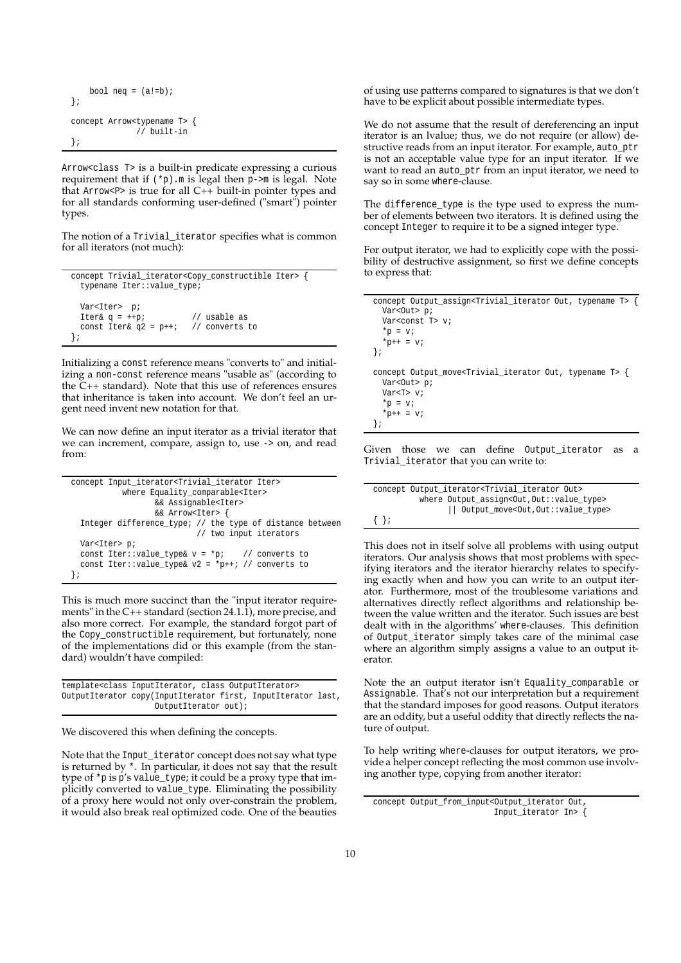```
bool neq = (a! = b);
};
concept Arrow<typename T> {
              // built-in
};
```
Arrow<class T> is a built-in predicate expressing a curious requirement that if  $(*p)$ .m is legal then p->m is legal. Note that Arrow<P> is true for all C++ built-in pointer types and for all standards conforming user-defined ("smart") pointer types.

The notion of a Trivial\_iterator specifies what is common for all iterators (not much):

```
concept Trivial_iterator<Copy_constructible Iter> {
 typename Iter::value_type;
 Var<Iter> p;
 Iter& q = ++p; // usable as
 const Iter& q2 = p++; // converts to
};
```
Initializing a const reference means "converts to" and initializing a non-const reference means "usable as" (according to the  $C_{++}$  standard). Note that this use of references ensures that inheritance is taken into account. We don't feel an urgent need invent new notation for that.

We can now define an input iterator as a trivial iterator that we can increment, compare, assign to, use -> on, and read from:

```
concept Input_iterator<Trivial_iterator Iter>
           where Equality_comparable<Iter>
                  && Assignable<Iter>
                  && Arrow<Iter> {
  Integer difference_type; // the type of distance between
                          // two input iterators
  Var<Iter> p;
  const Iter::value_type& v = *pi; // converts to
  const Iter::value_type& v2 = *p++; // converts to
};
```
This is much more succinct than the "input iterator requirements" in the C++ standard (section 24.1.1), more precise, and also more correct. For example, the standard forgot part of the Copy\_constructible requirement, but fortunately, none of the implementations did or this example (from the standard) wouldn't have compiled:

```
template<class InputIterator, class OutputIterator>
OutputIterator copy(InputIterator first, InputIterator last,
                   OutputIterator out);
```
We discovered this when defining the concepts.

Note that the Input\_iterator concept does not say what type is returned by \*. In particular, it does not say that the result type of \*p is p's value\_type; it could be a proxy type that implicitly converted to value\_type. Eliminating the possibility of a proxy here would not only over-constrain the problem, it would also break real optimized code. One of the beauties of using use patterns compared to signatures is that we don't have to be explicit about possible intermediate types.

We do not assume that the result of dereferencing an input iterator is an lvalue; thus, we do not require (or allow) destructive reads from an input iterator. For example, auto\_ptr is not an acceptable value type for an input iterator. If we want to read an auto\_ptr from an input iterator, we need to say so in some where-clause.

The difference\_type is the type used to express the number of elements between two iterators. It is defined using the concept Integer to require it to be a signed integer type.

For output iterator, we had to explicitly cope with the possibility of destructive assignment, so first we define concepts to express that:

```
concept Output_assign<Trivial_iterator Out, typename T> {
  Var<Out> p;
  Var<const T> v;
  *_{p} = v;
  *_{p++} = v;
};
concept Output move<Trivial iterator Out, typename T> {
  Var<Out> p;
  Var<T> v;
  *_{p} = v;*_{p++} = v;
};
```
Given those we can define Output iterator as a Trivial\_iterator that you can write to:

| concept Output iterator <trivial iterator="" out=""></trivial> |  |  |  |  |
|----------------------------------------------------------------|--|--|--|--|
| where Output assign <out, out::value="" type=""></out,>        |  |  |  |  |
| Output_move <out, out::value_type=""></out,>                   |  |  |  |  |
| $\{\ \}$ ;                                                     |  |  |  |  |

This does not in itself solve all problems with using output iterators. Our analysis shows that most problems with specifying iterators and the iterator hierarchy relates to specifying exactly when and how you can write to an output iterator. Furthermore, most of the troublesome variations and alternatives directly reflect algorithms and relationship between the value written and the iterator. Such issues are best dealt with in the algorithms' where-clauses. This definition of Output\_iterator simply takes care of the minimal case where an algorithm simply assigns a value to an output iterator.

Note the an output iterator isn't Equality\_comparable or Assignable. That's not our interpretation but a requirement that the standard imposes for good reasons. Output iterators are an oddity, but a useful oddity that directly reflects the nature of output.

To help writing where-clauses for output iterators, we provide a helper concept reflecting the most common use involving another type, copying from another iterator:

concept Output\_from\_input<Output\_iterator Out, Input\_iterator In> {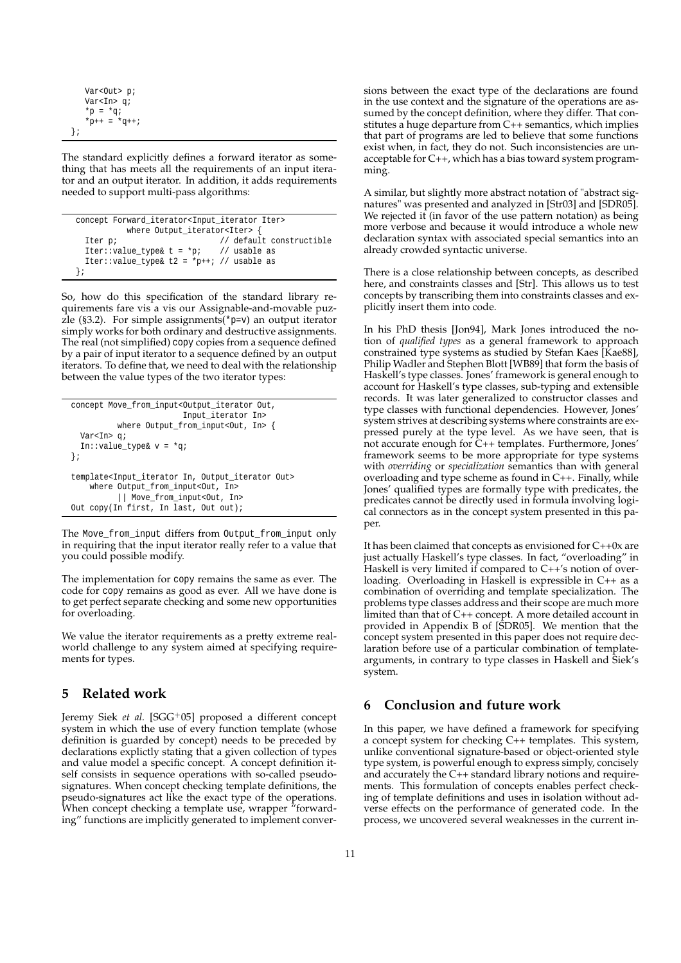```
Var<Out> p;
   Var<In> q;
    *p = *qi*_{p++} = *_{q++};};
```
The standard explicitly defines a forward iterator as something that has meets all the requirements of an input iterator and an output iterator. In addition, it adds requirements needed to support multi-pass algorithms:

| concept Forward iterator <input iter="" iterator=""/> |  |                          |  |  |
|-------------------------------------------------------|--|--------------------------|--|--|
| where Output_iterator <iter> {</iter>                 |  |                          |  |  |
| Iter p;                                               |  | // default constructible |  |  |
| Iter::value type& t = *p; // usable as                |  |                          |  |  |
| Iter::value type& t2 = *p++; // usable as             |  |                          |  |  |
| $\{i\}$                                               |  |                          |  |  |

So, how do this specification of the standard library requirements fare vis a vis our Assignable-and-movable puzzle (§3.2). For simple assignments(\*p=v) an output iterator simply works for both ordinary and destructive assignments. The real (not simplified) copy copies from a sequence defined by a pair of input iterator to a sequence defined by an output iterators. To define that, we need to deal with the relationship between the value types of the two iterator types:

```
concept Move_from_input<Output_iterator Out,
                        Input_iterator In>
          where Output_from_input<Out, In> {
 Var<In> q;
 In::value_type& v = *q;
};
template<Input_iterator In, Output_iterator Out>
   where Output_from_input<Out, In>
          || Move_from_input<Out, In>
Out copy(In first, In last, Out out);
```
The Move\_from\_input differs from Output\_from\_input only in requiring that the input iterator really refer to a value that you could possible modify.

The implementation for copy remains the same as ever. The code for copy remains as good as ever. All we have done is to get perfect separate checking and some new opportunities for overloading.

We value the iterator requirements as a pretty extreme realworld challenge to any system aimed at specifying requirements for types.

# **5 Related work**

Jeremy Siek et al. [SGG<sup>+</sup>05] proposed a different concept system in which the use of every function template (whose definition is guarded by concept) needs to be preceded by declarations explictly stating that a given collection of types and value model a specific concept. A concept definition itself consists in sequence operations with so-called pseudosignatures. When concept checking template definitions, the pseudo-signatures act like the exact type of the operations. When concept checking a template use, wrapper "forwarding" functions are implicitly generated to implement conversions between the exact type of the declarations are found in the use context and the signature of the operations are assumed by the concept definition, where they differ. That constitutes a huge departure from C++ semantics, which implies that part of programs are led to believe that some functions exist when, in fact, they do not. Such inconsistencies are unacceptable for C++, which has a bias toward system programming.

A similar, but slightly more abstract notation of "abstract signatures" was presented and analyzed in [Str03] and [SDR05]. We rejected it (in favor of the use pattern notation) as being more verbose and because it would introduce a whole new declaration syntax with associated special semantics into an already crowded syntactic universe.

There is a close relationship between concepts, as described here, and constraints classes and [Str]. This allows us to test concepts by transcribing them into constraints classes and explicitly insert them into code.

In his PhD thesis [Jon94], Mark Jones introduced the notion of *qualified types* as a general framework to approach constrained type systems as studied by Stefan Kaes [Kae88], Philip Wadler and Stephen Blott [WB89] that form the basis of Haskell's type classes. Jones' framework is general enough to account for Haskell's type classes, sub-typing and extensible records. It was later generalized to constructor classes and type classes with functional dependencies. However, Jones' system strives at describing systems where constraints are expressed purely at the type level. As we have seen, that is not accurate enough for C++ templates. Furthermore, Jones' framework seems to be more appropriate for type systems with *overriding* or *specialization* semantics than with general overloading and type scheme as found in C++. Finally, while Jones' qualified types are formally type with predicates, the predicates cannot be directly used in formula involving logical connectors as in the concept system presented in this paper.

It has been claimed that concepts as envisioned for C++0x are just actually Haskell's type classes. In fact, "overloading" in Haskell is very limited if compared to C++'s notion of overloading. Overloading in Haskell is expressible in C++ as a combination of overriding and template specialization. The problems type classes address and their scope are much more limited than that of C++ concept. A more detailed account in provided in Appendix B of [SDR05]. We mention that the concept system presented in this paper does not require declaration before use of a particular combination of templatearguments, in contrary to type classes in Haskell and Siek's system.

# **6 Conclusion and future work**

In this paper, we have defined a framework for specifying a concept system for checking C++ templates. This system, unlike conventional signature-based or object-oriented style type system, is powerful enough to express simply, concisely and accurately the C++ standard library notions and requirements. This formulation of concepts enables perfect checking of template definitions and uses in isolation without adverse effects on the performance of generated code. In the process, we uncovered several weaknesses in the current in